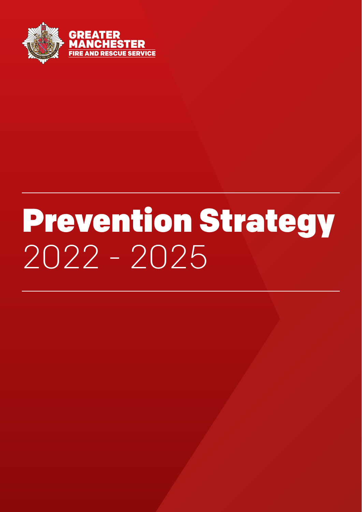

# Prevention Strategy 2022 - 2025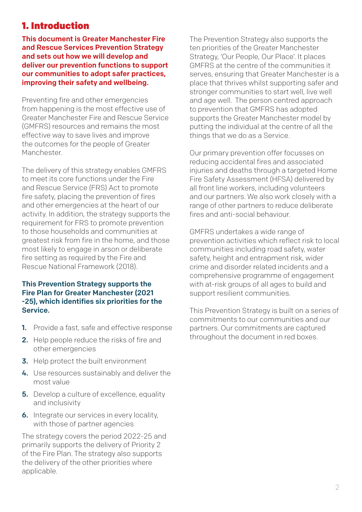# 1. Introduction

This document is Greater Manchester Fire and Rescue Services Prevention Strategy and sets out how we will develop and deliver our prevention functions to support our communities to adopt safer practices, improving their safety and wellbeing.

Preventing fire and other emergencies from happening is the most effective use of Greater Manchester Fire and Rescue Service (GMFRS) resources and remains the most effective way to save lives and improve the outcomes for the people of Greater **Manchester.** 

The delivery of this strategy enables GMFRS to meet its core functions under the Fire and Rescue Service (FRS) Act to promote fire safety, placing the prevention of fires and other emergencies at the heart of our activity. In addition, the strategy supports the requirement for FRS to promote prevention to those households and communities at greatest risk from fire in the home, and those most likely to engage in arson or deliberate fire setting as required by the Fire and Rescue National Framework (2018).

#### This Prevention Strategy supports the Fire Plan for Greater Manchester (2021 -25), which identifies six priorities for the Service.

- 1. Provide a fast, safe and effective response
- 2. Help people reduce the risks of fire and other emergencies
- 3. Help protect the built environment
- 4. Use resources sustainably and deliver the most value
- **5.** Develop a culture of excellence, equality and inclusivity
- **6.** Integrate our services in every locality, with those of partner agencies

The strategy covers the period 2022-25 and primarily supports the delivery of Priority 2 of the Fire Plan. The strategy also supports the delivery of the other priorities where applicable.

The Prevention Strategy also supports the ten priorities of the Greater Manchester Strategy, 'Our People, Our Place'. It places GMFRS at the centre of the communities it serves, ensuring that Greater Manchester is a place that thrives whilst supporting safer and stronger communities to start well, live well and age well. The person centred approach to prevention that GMFRS has adopted supports the Greater Manchester model by putting the individual at the centre of all the things that we do as a Service.

Our primary prevention offer focusses on reducing accidental fires and associated injuries and deaths through a targeted Home Fire Safety Assessment (HFSA) delivered by all front line workers, including volunteers and our partners. We also work closely with a range of other partners to reduce deliberate fires and anti-social behaviour.

GMFRS undertakes a wide range of prevention activities which reflect risk to local communities including road safety, water safety, height and entrapment risk, wider crime and disorder related incidents and a comprehensive programme of engagement with at-risk groups of all ages to build and support resilient communities.

This Prevention Strategy is built on a series of commitments to our communities and our partners. Our commitments are captured throughout the document in red boxes.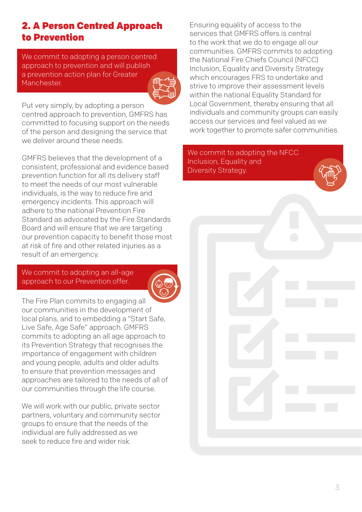## 2. A Person Centred Approach to Prevention

We commit to adopting a person centred approach to prevention and will publish a prevention action plan for Greater Manchester.

Put very simply, by adopting a person centred approach to prevention, GMFRS has committed to focusing support on the needs of the person and designing the service that we deliver around these needs.

GMFRS believes that the development of a consistent, professional and evidence based prevention function for all its delivery staff to meet the needs of our most vulnerable individuals, is the way to reduce fire and emergency incidents. This approach will adhere to the national Prevention Fire Standard as advocated by the Fire Standards Board and will ensure that we are targeting our prevention capacity to benefit those most at risk of fire and other related injuries as a result of an emergency.

We commit to adopting an all-age approach to our Prevention offer.

The Fire Plan commits to engaging all our communities in the development of local plans, and to embedding a "Start Safe, Live Safe, Age Safe" approach. GMFRS commits to adopting an all age approach to its Prevention Strategy that recognises the importance of engagement with children and young people, adults and older adults to ensure that prevention messages and approaches are tailored to the needs of all of our communities through the life course.

We will work with our public, private sector partners, voluntary and community sector groups to ensure that the needs of the individual are fully addressed as we seek to reduce fire and wider risk.

Ensuring equality of access to the services that GMFRS offers is central to the work that we do to engage all our communities. GMFRS commits to adopting the National Fire Chiefs Council (NFCC) Inclusion, Equality and Diversity Strategy which encourages FRS to undertake and strive to improve their assessment levels within the national Equality Standard for Local Government, thereby ensuring that all individuals and community groups can easily access our services and feel valued as we work together to promote safer communities.

We commit to adopting the NFCC Inclusion, Equality and Diversity Strategy.

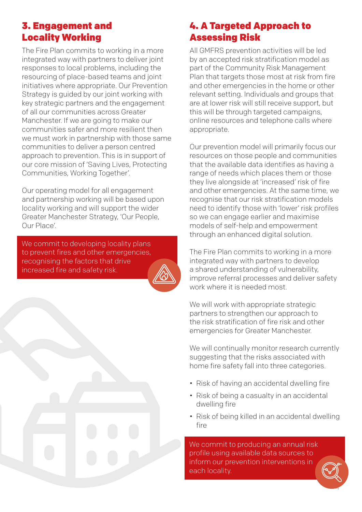## 3. Engagement and Locality Working

The Fire Plan commits to working in a more integrated way with partners to deliver joint responses to local problems, including the resourcing of place-based teams and joint initiatives where appropriate. Our Prevention Strategy is guided by our joint working with key strategic partners and the engagement of all our communities across Greater Manchester. If we are going to make our communities safer and more resilient then we must work in partnership with those same communities to deliver a person centred approach to prevention. This is in support of our core mission of 'Saving Lives, Protecting Communities, Working Together'.

Our operating model for all engagement and partnership working will be based upon locality working and will support the wider Greater Manchester Strategy, 'Our People, Our Place'.

We commit to developing locality plans to prevent fires and other emergencies, recognising the factors that drive increased fire and safety risk.



# 4. A Targeted Approach to Assessing Risk

All GMFRS prevention activities will be led by an accepted risk stratification model as part of the Community Risk Management Plan that targets those most at risk from fire and other emergencies in the home or other relevant setting. Individuals and groups that are at lower risk will still receive support, but this will be through targeted campaigns, online resources and telephone calls where appropriate.

Our prevention model will primarily focus our resources on those people and communities that the available data identifies as having a range of needs which places them or those they live alongside at 'increased' risk of fire and other emergencies. At the same time, we recognise that our risk stratification models need to identify those with 'lower' risk profiles so we can engage earlier and maximise models of self-help and empowerment through an enhanced digital solution.

The Fire Plan commits to working in a more integrated way with partners to develop a shared understanding of vulnerability, improve referral processes and deliver safety work where it is needed most.

We will work with appropriate strategic partners to strengthen our approach to the risk stratification of fire risk and other emergencies for Greater Manchester.

We will continually monitor research currently suggesting that the risks associated with home fire safety fall into three categories.

- Risk of having an accidental dwelling fire
- Risk of being a casualty in an accidental dwelling fire
- Risk of being killed in an accidental dwelling fire

4

We commit to producing an annual risk profile using available data sources to inform our prevention interventions in each locality.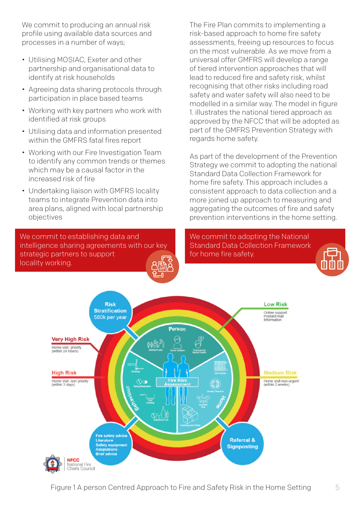We commit to producing an annual risk profile using available data sources and processes in a number of ways;

- Utilising MOSIAC, Exeter and other partnership and organisational data to identify at risk households
- Agreeing data sharing protocols through participation in place based teams
- Working with key partners who work with identified at risk groups
- Utilising data and information presented within the GMFRS fatal fires report
- Working with our Fire Investigation Team to identify any common trends or themes which may be a causal factor in the increased risk of fire
- Undertaking liaison with GMFRS locality teams to integrate Prevention data into area plans, aligned with local partnership objectives

We commit to establishing data and intelligence sharing agreements with our key strategic partners to support locality working.

The Fire Plan commits to implementing a risk-based approach to home fire safety assessments, freeing up resources to focus on the most vulnerable. As we move from a universal offer GMFRS will develop a range of tiered intervention approaches that will lead to reduced fire and safety risk, whilst recognising that other risks including road safety and water safety will also need to be modelled in a similar way. The model in figure 1. illustrates the national tiered approach as approved by the NFCC that will be adopted as part of the GMFRS Prevention Strategy with regards home safety.

As part of the development of the Prevention Strategy we commit to adopting the national Standard Data Collection Framework for home fire safety. This approach includes a consistent approach to data collection and a more joined up approach to measuring and aggregating the outcomes of fire and safety prevention interventions in the home setting.

We commit to adopting the National Standard Data Collection Framework for home fire safety.



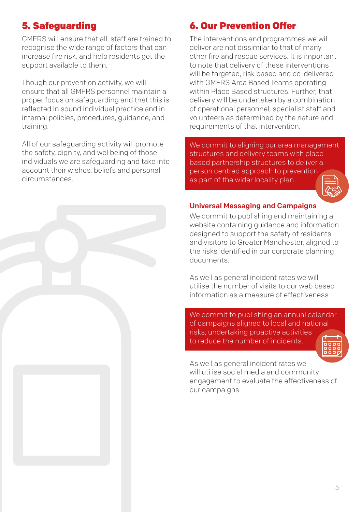# 5. Safeguarding

GMFRS will ensure that all staff are trained to recognise the wide range of factors that can increase fire risk, and help residents get the support available to them.

Though our prevention activity, we will ensure that all GMFRS personnel maintain a proper focus on safeguarding and that this is reflected in sound individual practice and in internal policies, procedures, guidance, and training.

All of our safeguarding activity will promote the safety, dignity, and wellbeing of those individuals we are safeguarding and take into account their wishes, beliefs and personal circumstances.

## 6. Our Prevention Offer

The interventions and programmes we will deliver are not dissimilar to that of many other fire and rescue services. It is important to note that delivery of these interventions will be targeted, risk based and co-delivered with GMFRS Area Based Teams operating within Place Based structures. Further, that delivery will be undertaken by a combination of operational personnel, specialist staff and volunteers as determined by the nature and requirements of that intervention.

We commit to aligning our area management structures and delivery teams with place based partnership structures to deliver a person centred approach to prevention as part of the wider locality plan.



#### Universal Messaging and Campaigns

We commit to publishing and maintaining a website containing guidance and information designed to support the safety of residents and visitors to Greater Manchester, aligned to the risks identified in our corporate planning documents.

As well as general incident rates we will utilise the number of visits to our web based information as a measure of effectiveness.

We commit to publishing an annual calendar of campaigns aligned to local and national risks, undertaking proactive activities to reduce the number of incidents.

As well as general incident rates we will utilise social media and community engagement to evaluate the effectiveness of our campaigns.

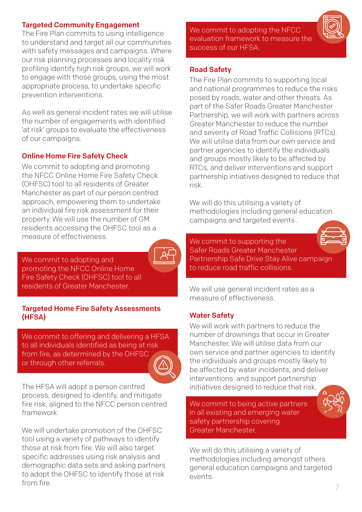#### Targeted Community Engagement

The Fire Plan commits to using intelligence to understand and target all our communities with safety messages and campaigns. Where our risk planning processes and locality risk profiling identify high risk groups, we will work to engage with those groups, using the most appropriate process, to undertake specific prevention interventions.

As well as general incident rates we will utilise the number of engagements with identified 'at risk' groups to evaluate the effectiveness of our campaigns.

#### Online Home Fire Safety Check

We commit to adopting and promoting the NFCC Online Home Fire Safety Check (OHFSC) tool to all residents of Greater Manchester as part of our person centred approach, empowering them to undertake an individual fire risk assessment for their property. We will use the number of GM residents accessing the OHFSC tool as a measure of effectiveness.

We commit to adopting and promoting the NFCC Online Home Fire Safety Check (OHFSC) tool to all residents of Greater Manchester.

#### Targeted Home Fire Safety Assessments (HFSA)

We commit to offering and delivering a HFSA to all individuals identified as being at risk from fire, as determined by the OHFSC or through other referrals.

The HFSA will adopt a person centred process, designed to identify, and mitigate fire risk, aligned to the NFCC person centred framework.

We will undertake promotion of the OHFSC tool using a variety of pathways to identify those at risk from fire. We will also target specific addresses using risk analysis and demographic data sets and asking partners to adopt the OHFSC to identify those at risk from fire.

We commit to adopting the NFCC evaluation framework to measure the success of our HFSA.

#### Road Safety

The Fire Plan commits to supporting local and national programmes to reduce the risks posed by roads, water and other threats. As part of the Safer Roads Greater Manchester Partnership, we will work with partners across Greater Manchester to reduce the number and severity of Road Traffic Collisions (RTCs). We will utilise data from our own service and partner agencies to identify the individuals and groups mostly likely to be affected by RTCs, and deliver interventions and support partnership intiatives designed to reduce that risk.

We will do this utilising a variety of methodologies including general education campaigns and targeted events .

We commit to supporting the Safer Roads Greater Manchester Partnership Safe Drive Stay Alive campaign to reduce road traffic collisions.

We will use general incident rates as a measure of effectiveness.

#### Water Safety

We will work with partners to reduce the number of drownings that occur in Greater Manchester. We will utilise data from our own service and partner agencies to identify the individuals and groups mostly likely to be affected by water incidents, and deliver interventions and support partnership initiatives designed to reduce that risk.

We commit to being active partners in all existing and emerging water safety partnership covering Greater Manchester.

We will do this utilising a variety of methodologies including amongst others general education campaigns and targeted events.





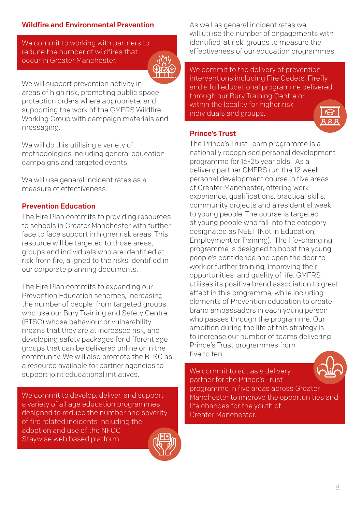## Wildfire and Environmental Prevention

We commit to working with partners to reduce the number of wildfires that occur in Greater Manchester.



We will support prevention activity in areas of high risk, promoting public space protection orders where appropriate, and supporting the work of the GMFRS Wildfire Working Group with campaign materials and messaging.

We will do this utilising a variety of methodologies including general education campaigns and targeted events.

We will use general incident rates as a measure of effectiveness.

#### Prevention Education

The Fire Plan commits to providing resources to schools in Greater Manchester with further face to face support in higher risk areas. This resource will be targeted to those areas, groups and individuals who are identified at risk from fire, aligned to the risks identified in our corporate planning documents.

The Fire Plan commits to expanding our Prevention Education schemes, increasing the number of people from targeted groups who use our Bury Training and Safety Centre (BTSC) whose behaviour or vulnerability means that they are at increased risk, and developing safety packages for different age groups that can be delivered online or in the community. We will also promote the BTSC as a resource available for partner agencies to support joint educational initiatives.

We commit to develop, deliver, and support a variety of all age education programmes designed to reduce the number and severity of fire related incidents including the adoption and use of the NFCC Staywise web based platform.

As well as general incident rates we will utilise the number of engagements with identified 'at risk' groups to measure the effectiveness of our education programmes.

We commit to the delivery of prevention interventions including Fire Cadets, Firefly and a full educational programme delivered through our Bury Training Centre or within the locality for higher risk individuals and groups.



The Prince's Trust Team programme is a nationally recognised personal development programme for 16-25 year olds. As a delivery partner GMFRS run the 12 week personal development course in five areas of Greater Manchester, offering work experience, qualifications, practical skills, community projects and a residential week to young people. The course is targeted at young people who fall into the category designated as NEET (Not in Education, Employment or Training). The life-changing programme is designed to boost the young people's confidence and open the door to work or further training, improving their opportunities and quality of life. GMFRS utilises its positive brand association to great effect in this programme, while including elements of Prevention education to create brand ambassadors in each young person who passes through the programme. Our ambition during the life of this strategy is to increase our number of teams delivering Prince's Trust programmes from five to ten.

We commit to act as a delivery partner for the Prince's Trust



programme in five areas across Greater Manchester to improve the opportunities and life chances for the youth of Greater Manchester.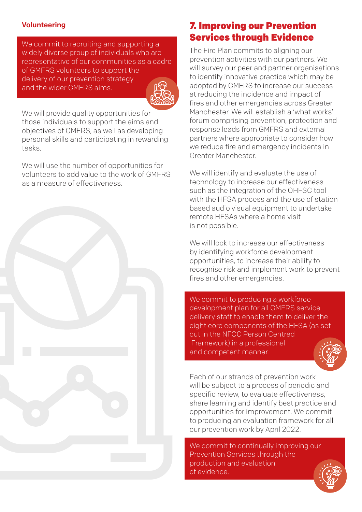#### Volunteering

We commit to recruiting and supporting a widely diverse group of individuals who are representative of our communities as a cadre of GMFRS volunteers to support the delivery of our prevention strategy and the wider GMFRS aims.



We will provide quality opportunities for those individuals to support the aims and objectives of GMFRS, as well as developing personal skills and participating in rewarding tasks.

We will use the number of opportunities for volunteers to add value to the work of GMFRS as a measure of effectiveness.



## 7. Improving our Prevention Services through Evidence

The Fire Plan commits to aligning our prevention activities with our partners. We will survey our peer and partner organisations to identify innovative practice which may be adopted by GMFRS to increase our success at reducing the incidence and impact of fires and other emergencies across Greater Manchester. We will establish a 'what works' forum comprising prevention, protection and response leads from GMFRS and external partners where appropriate to consider how we reduce fire and emergency incidents in Greater Manchester.

We will identify and evaluate the use of technology to increase our effectiveness such as the integration of the OHFSC tool with the HFSA process and the use of station based audio visual equipment to undertake remote HFSAs where a home visit is not possible.

We will look to increase our effectiveness by identifying workforce development opportunities, to increase their ability to recognise risk and implement work to prevent fires and other emergencies.

We commit to producing a workforce development plan for all GMFRS service delivery staff to enable them to deliver the eight core components of the HFSA (as set out in the NFCC Person Centred Framework) in a professional and competent manner.



Each of our strands of prevention work will be subject to a process of periodic and specific review, to evaluate effectiveness, share learning and identify best practice and opportunities for improvement. We commit to producing an evaluation framework for all our prevention work by April 2022.

We commit to continually improving our Prevention Services through the production and evaluation of evidence.

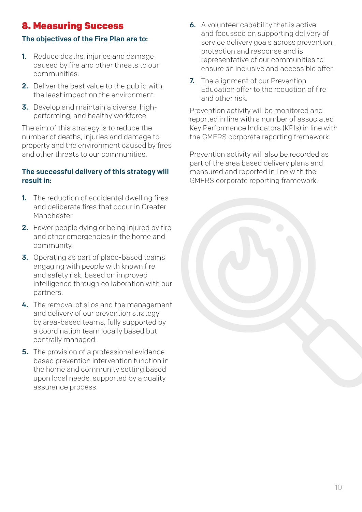## 8. Measuring Success

## The objectives of the Fire Plan are to:

- **1.** Reduce deaths, injuries and damage caused by fire and other threats to our communities.
- 2. Deliver the best value to the public with the least impact on the environment.
- 3. Develop and maintain a diverse, highperforming, and healthy workforce.

The aim of this strategy is to reduce the number of deaths, injuries and damage to property and the environment caused by fires and other threats to our communities.

## The successful delivery of this strategy will result in:

- **1.** The reduction of accidental dwelling fires and deliberate fires that occur in Greater **Manchester.**
- 2. Fewer people dying or being injured by fire and other emergencies in the home and community.
- 3. Operating as part of place-based teams engaging with people with known fire and safety risk, based on improved intelligence through collaboration with our partners.
- 4. The removal of silos and the management and delivery of our prevention strategy by area-based teams, fully supported by a coordination team locally based but centrally managed.
- **5.** The provision of a professional evidence based prevention intervention function in the home and community setting based upon local needs, supported by a quality assurance process.
- 6. A volunteer capability that is active and focussed on supporting delivery of service delivery goals across prevention, protection and response and is representative of our communities to ensure an inclusive and accessible offer.
- 7. The alignment of our Prevention Education offer to the reduction of fire and other risk.

Prevention activity will be monitored and reported in line with a number of associated Key Performance Indicators (KPIs) in line with the GMFRS corporate reporting framework.

Prevention activity will also be recorded as part of the area based delivery plans and measured and reported in line with the GMFRS corporate reporting framework.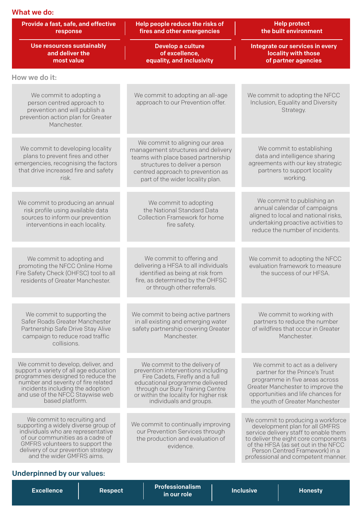| What we do:                                                                                                                                                                                                                                          |                                                                                                                                                                                                                                                   |                                                                                                                                                                                                                                                                      |
|------------------------------------------------------------------------------------------------------------------------------------------------------------------------------------------------------------------------------------------------------|---------------------------------------------------------------------------------------------------------------------------------------------------------------------------------------------------------------------------------------------------|----------------------------------------------------------------------------------------------------------------------------------------------------------------------------------------------------------------------------------------------------------------------|
| Provide a fast, safe, and effective<br>response                                                                                                                                                                                                      | Help people reduce the risks of<br>fires and other emergencies                                                                                                                                                                                    | <b>Help protect</b><br>the built environment                                                                                                                                                                                                                         |
| Use resources sustainably<br>and deliver the<br>most value                                                                                                                                                                                           | Develop a culture<br>of excellence,<br>equality, and inclusivity                                                                                                                                                                                  | Integrate our services in every<br>locality with those<br>of partner agencies                                                                                                                                                                                        |
| How we do it:                                                                                                                                                                                                                                        |                                                                                                                                                                                                                                                   |                                                                                                                                                                                                                                                                      |
| We commit to adopting a<br>person centred approach to<br>prevention and will publish a<br>prevention action plan for Greater<br>Manchester.                                                                                                          | We commit to adopting an all-age<br>approach to our Prevention offer.                                                                                                                                                                             | We commit to adopting the NFCC<br>Inclusion, Equality and Diversity<br>Strategy.                                                                                                                                                                                     |
| We commit to developing locality<br>plans to prevent fires and other<br>emergencies, recognising the factors<br>that drive increased fire and safety<br>risk.                                                                                        | We commit to aligning our area<br>management structures and delivery<br>teams with place based partnership<br>structures to deliver a person<br>centred approach to prevention as<br>part of the wider locality plan.                             | We commit to establishing<br>data and intelligence sharing<br>agreements with our key strategic<br>partners to support locality<br>working.                                                                                                                          |
| We commit to producing an annual<br>risk profile using available data<br>sources to inform our prevention<br>interventions in each locality.                                                                                                         | We commit to adopting<br>the National Standard Data<br>Collection Framework for home<br>fire safety.                                                                                                                                              | We commit to publishing an<br>annual calendar of campaigns<br>aligned to local and national risks,<br>undertaking proactive activities to<br>reduce the number of incidents.                                                                                         |
| We commit to adopting and<br>promoting the NFCC Online Home<br>Fire Safety Check (OHFSC) tool to all<br>residents of Greater Manchester.                                                                                                             | We commit to offering and<br>delivering a HFSA to all individuals<br>identified as being at risk from<br>fire, as determined by the OHFSC<br>or through other referrals.                                                                          | We commit to adopting the NFCC<br>evaluation framework to measure<br>the success of our HFSA.                                                                                                                                                                        |
| We commit to supporting the<br>Safer Roads Greater Manchester<br>Partnership Safe Drive Stay Alive<br>campaign to reduce road traffic<br>collisions.                                                                                                 | We commit to being active partners<br>in all existing and emerging water<br>safety partnership covering Greater<br>Manchester.                                                                                                                    | We commit to working with<br>partners to reduce the number<br>of wildfires that occur in Greater<br>Manchester.                                                                                                                                                      |
| We commit to develop, deliver, and<br>support a variety of all age education<br>programmes designed to reduce the<br>number and severity of fire related<br>incidents including the adoption<br>and use of the NFCC Staywise web<br>based platform.  | We commit to the delivery of<br>prevention interventions including<br>Fire Cadets, Firefly and a full<br>educational programme delivered<br>through our Bury Training Centre<br>or within the locality for higher risk<br>individuals and groups. | We commit to act as a delivery<br>partner for the Prince's Trust<br>programme in five areas across<br>Greater Manchester to improve the<br>opportunities and life chances for<br>the youth of Greater Manchester                                                     |
| We commit to recruiting and<br>supporting a widely diverse group of<br>individuals who are representative<br>of our communities as a cadre of<br>GMFRS volunteers to support the<br>delivery of our prevention strategy<br>and the wider GMFRS aims. | We commit to continually improving<br>our Prevention Services through<br>the production and evaluation of<br>evidence.                                                                                                                            | We commit to producing a workforce<br>development plan for all GMFRS<br>service delivery staff to enable them<br>to deliver the eight core components<br>of the HFSA (as set out in the NFCC<br>Person Centred Framework) in a<br>professional and competent manner. |

## Underpinned by our values:

| <b>Professionalism</b><br><b>Inclusive</b><br><b>Excellence</b><br><b>Honesty</b><br><b>Respect</b><br>i in our role ' |
|------------------------------------------------------------------------------------------------------------------------|
|------------------------------------------------------------------------------------------------------------------------|